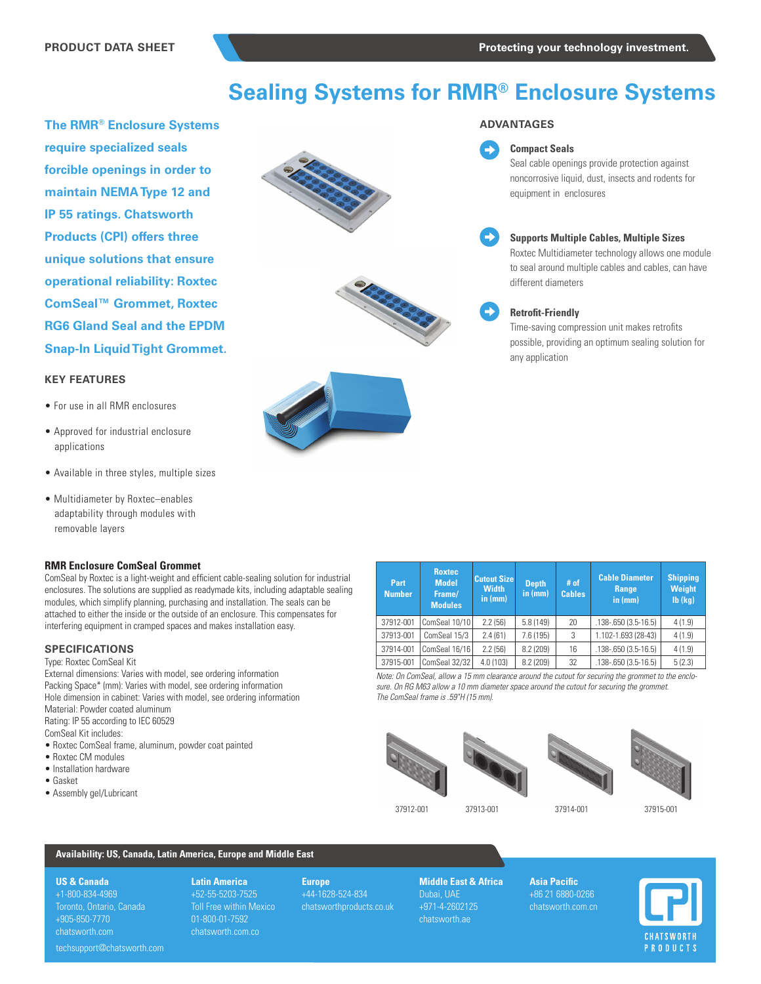# **Sealing Systems for RMR® Enclosure Systems**

**The RMR® Enclosure Systems require specialized seals forcible openings in order to maintain NEMA Type 12 and IP 55 ratings. Chatsworth Products (CPI) offers three unique solutions that ensure operational reliability: Roxtec ComSeal™ Grommet, Roxtec RG6 Gland Seal and the EPDM Snap-In Liquid Tight Grommet.** 

# **KEY FEATURES**

- For use in all RMR enclosures
- Approved for industrial enclosure applications
- Available in three styles, multiple sizes
- Multidiameter by Roxtec–enables adaptability through modules with removable layers

#### **RMR Enclosure ComSeal Grommet**

ComSeal by Roxtec is a light-weight and efficient cable-sealing solution for industrial enclosures. The solutions are supplied as readymade kits, including adaptable sealing modules, which simplify planning, purchasing and installation. The seals can be attached to either the inside or the outside of an enclosure. This compensates for interfering equipment in cramped spaces and makes installation easy.

## **SPECIFICATIONS**

Type: Roxtec ComSeal Kit

External dimensions: Varies with model, see ordering information Packing Space\* (mm): Varies with model, see ordering information Hole dimension in cabinet: Varies with model, see ordering information Material: Powder coated aluminum Rating: IP 55 according to IEC 60529

- ComSeal Kit includes:
- Roxtec ComSeal frame, aluminum, powder coat painted
- Roxtec CM modules
- Installation hardware
- Gasket
- Assembly gel/Lubricant







### **ADVANTAGES**

#### **Compact Seals**

Seal cable openings provide protection against noncorrosive liquid, dust, insects and rodents for equipment in enclosures



∽

#### **Supports Multiple Cables, Multiple Sizes**

Roxtec Multidiameter technology allows one module to seal around multiple cables and cables, can have different diameters



#### **Retrofit-Friendly**

Time-saving compression unit makes retrofits possible, providing an optimum sealing solution for any application

| Part<br><b>Number</b> | <b>Roxtec</b><br><b>Model</b><br>Frame/<br><b>Modules</b> | <b>Cutout Size</b><br><b>Width</b><br>in (mm) | <b>Depth</b><br>in (mm) | $#$ of<br><b>Cables</b> | <b>Cable Diameter</b><br>Range<br>in $(mm)$ | <b>Shipping</b><br><b>Weight</b><br>$Ib$ (kg) |
|-----------------------|-----------------------------------------------------------|-----------------------------------------------|-------------------------|-------------------------|---------------------------------------------|-----------------------------------------------|
| 37912-001             | ComSeal 10/10                                             | 2.2(56)                                       | 5.8(149)                | 20                      | $.138 - .650(3.5 - 16.5)$                   | 4(1.9)                                        |
| 37913-001             | ComSeal 15/3                                              | 2.4(61)                                       | 7.6 (195)               | 3                       | 1.102-1.693 (28-43)                         | 4(1.9)                                        |
| 37914-001             | ComSeal 16/16                                             | 2.2(56)                                       | 8.2 (209)               | 16                      | $.138 - .650(3.5 - 16.5)$                   | 4(1.9)                                        |
| 37915-001             | ComSeal 32/32                                             | 4.0(103)                                      | 8.2 (209)               | 32                      | $.138 - .650(3.5 - 16.5)$                   | 5(2.3)                                        |

*Note: On ComSeal, allow a 15 mm clearance around the cutout for securing the grommet to the enclosure. On RG M63 allow a 10 mm diameter space around the cutout for securing the grommet. The ComSeal frame is .59"H (15 mm).* 







37912-001 37913-001 37914-001 37915-001

# **Availability: US, Canada, Latin America, Europe and Middle East**

#### **US & Canada**

+1-800-834-4969 Toronto, Ontario, Canada +905-850-7770 chatsworth.com

**Latin America**  +52-55-5203-7525 Toll Free within Mexico 01-800-01-7592 chatsworth.com.co

**Europe** +44-1628-524-834 chatsworthproducts.co.uk **Middle East & Africa** +971-4-2602125 chatsworth.ae

**Asia Pacific** +86 21 6880-0266 chatsworth.com.cn



techsupport@chatsworth.com